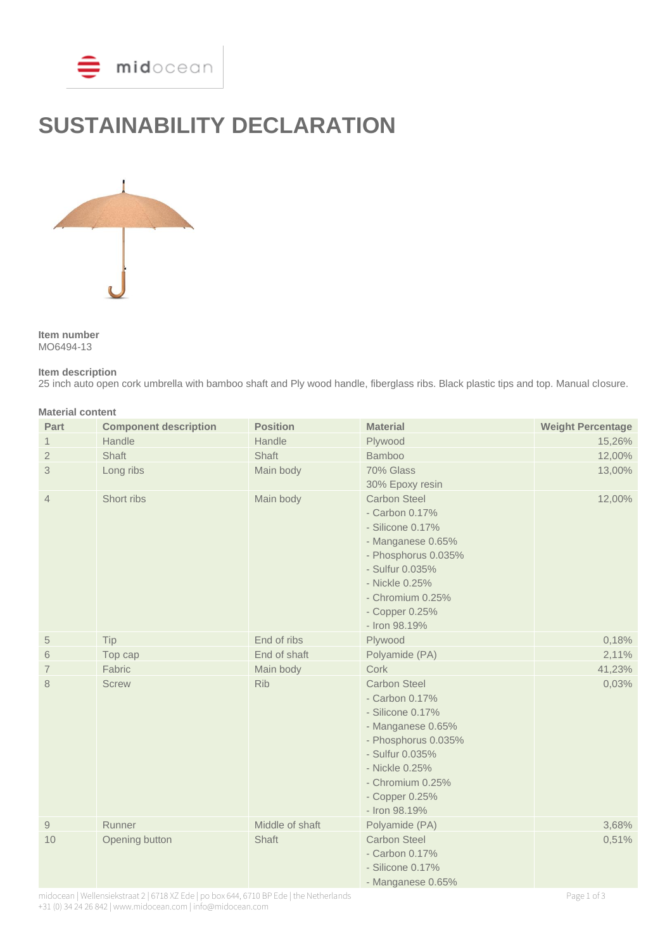

# **SUSTAINABILITY DECLARATION**



**Item number** MO6494-13

#### **Item description**

25 inch auto open cork umbrella with bamboo shaft and Ply wood handle, fiberglass ribs. Black plastic tips and top. Manual closure.

| <b>Material content</b> |                              |                 |                                                                                                                                                                                                   |                          |  |
|-------------------------|------------------------------|-----------------|---------------------------------------------------------------------------------------------------------------------------------------------------------------------------------------------------|--------------------------|--|
| Part                    | <b>Component description</b> | <b>Position</b> | <b>Material</b>                                                                                                                                                                                   | <b>Weight Percentage</b> |  |
| 1                       | Handle                       | Handle          | Plywood                                                                                                                                                                                           | 15,26%                   |  |
| $\overline{2}$          | Shaft                        | Shaft           | <b>Bamboo</b>                                                                                                                                                                                     | 12,00%                   |  |
| 3                       | Long ribs                    | Main body       | 70% Glass<br>30% Epoxy resin                                                                                                                                                                      | 13,00%                   |  |
| $\overline{4}$          | Short ribs                   | Main body       | <b>Carbon Steel</b><br>- Carbon 0.17%<br>- Silicone 0.17%<br>- Manganese 0.65%<br>- Phosphorus 0.035%<br>- Sulfur 0.035%<br>- Nickle 0.25%<br>- Chromium 0.25%<br>- Copper 0.25%<br>- Iron 98.19% | 12,00%                   |  |
| $\sqrt{5}$              | Tip                          | End of ribs     | Plywood                                                                                                                                                                                           | 0,18%                    |  |
| 6                       | Top cap                      | End of shaft    | Polyamide (PA)                                                                                                                                                                                    | 2,11%                    |  |
| $\overline{7}$          | Fabric                       | Main body       | Cork                                                                                                                                                                                              | 41,23%                   |  |
| 8                       | <b>Screw</b>                 | <b>Rib</b>      | <b>Carbon Steel</b><br>- Carbon 0.17%<br>- Silicone 0.17%<br>- Manganese 0.65%<br>- Phosphorus 0.035%<br>- Sulfur 0.035%<br>- Nickle 0.25%<br>- Chromium 0.25%<br>- Copper 0.25%<br>- Iron 98.19% | 0,03%                    |  |
| $\hbox{9}$              | Runner                       | Middle of shaft | Polyamide (PA)                                                                                                                                                                                    | 3,68%                    |  |
| 10                      | Opening button               | Shaft           | <b>Carbon Steel</b><br>- Carbon 0.17%<br>- Silicone 0.17%<br>- Manganese 0.65%                                                                                                                    | 0,51%                    |  |

midocean | Wellensiekstraat 2 | 6718 XZ Ede | po box 644, 6710 BP Ede | the Netherlands Page 1 of 3 +31 (0) 34 24 26 842 | www.midocean.com | info@midocean.com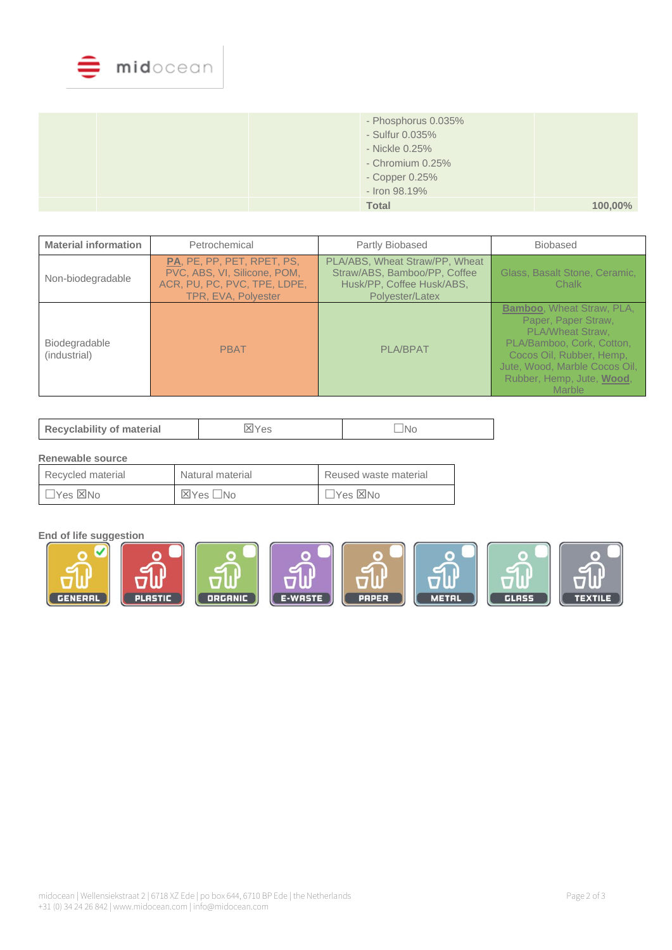

| - Phosphorus 0.035%<br>- Sulfur 0.035%<br>- Nickle 0.25%<br>- Chromium 0.25%<br>- Copper 0.25%<br>- Iron 98.19% |            |
|-----------------------------------------------------------------------------------------------------------------|------------|
| <b>Total</b>                                                                                                    | $100,00\%$ |

| <b>Material information</b>   | Petrochemical                                                                                                     | Partly Biobased                                                                                                | <b>Biobased</b>                                                                                                                                                                                                            |
|-------------------------------|-------------------------------------------------------------------------------------------------------------------|----------------------------------------------------------------------------------------------------------------|----------------------------------------------------------------------------------------------------------------------------------------------------------------------------------------------------------------------------|
| Non-biodegradable             | PA, PE, PP, PET, RPET, PS,<br>PVC, ABS, VI, Silicone, POM,<br>ACR, PU, PC, PVC, TPE, LDPE,<br>TPR, EVA, Polyester | PLA/ABS, Wheat Straw/PP, Wheat<br>Straw/ABS, Bamboo/PP, Coffee<br>Husk/PP, Coffee Husk/ABS,<br>Polyester/Latex | Glass, Basalt Stone, Ceramic,<br>Chalk                                                                                                                                                                                     |
| Biodegradable<br>(industrial) | <b>PBAT</b>                                                                                                       | <b>PLA/BPAT</b>                                                                                                | <b>Bamboo, Wheat Straw, PLA,</b><br>Paper, Paper Straw,<br><b>PLA/Wheat Straw.</b><br>PLA/Bamboo, Cork, Cotton,<br>Cocos Oil, Rubber, Hemp,<br>Jute, Wood, Marble Cocos Oil,<br>Rubber, Hemp, Jute, Wood,<br><b>Marble</b> |

| <b>Recyclability of material</b> | 'es | INo |
|----------------------------------|-----|-----|
|----------------------------------|-----|-----|

## **Renewable source**

| Recycled material | Natural material | Reused waste material     |  |
|-------------------|------------------|---------------------------|--|
| ⊿Yes ⊠No          | ⊠Yes □No         | $\Box$ Yes $\boxtimes$ No |  |

## **End of life suggestion**